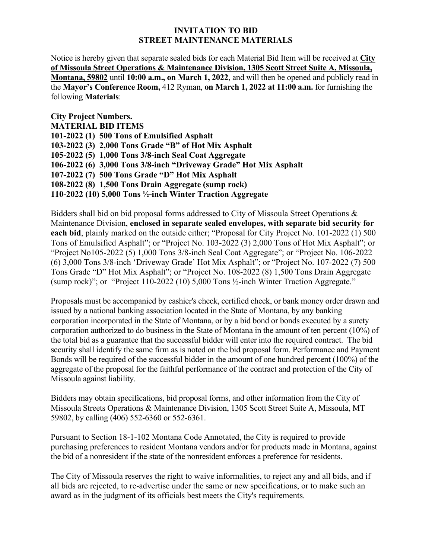## **INVITATION TO BID STREET MAINTENANCE MATERIALS**

Notice is hereby given that separate sealed bids for each Material Bid Item will be received at **City of Missoula Street Operations & Maintenance Division, 1305 Scott Street Suite A, Missoula, Montana, 59802** until **10:00 a.m., on March 1, 2022**, and will then be opened and publicly read in the **Mayor's Conference Room,** 412 Ryman, **on March 1, 2022 at 11:00 a.m.** for furnishing the following **Materials**:

**City Project Numbers. MATERIAL BID ITEMS 101-2022 (1) 500 Tons of Emulsified Asphalt 103-2022 (3) 2,000 Tons Grade "B" of Hot Mix Asphalt 105-2022 (5) 1,000 Tons 3/8-inch Seal Coat Aggregate 106-2022 (6) 3,000 Tons 3/8-inch "Driveway Grade" Hot Mix Asphalt 107-2022 (7) 500 Tons Grade "D" Hot Mix Asphalt 108-2022 (8) 1,500 Tons Drain Aggregate (sump rock) 110-2022 (10) 5,000 Tons ½-inch Winter Traction Aggregate** 

Bidders shall bid on bid proposal forms addressed to City of Missoula Street Operations & Maintenance Division, **enclosed in separate sealed envelopes, with separate bid security for each bid**, plainly marked on the outside either; "Proposal for City Project No. 101-2022 (1) 500 Tons of Emulsified Asphalt"; or "Project No. 103-2022 (3) 2,000 Tons of Hot Mix Asphalt"; or "Project No105-2022 (5) 1,000 Tons 3/8-inch Seal Coat Aggregate"; or "Project No. 106-2022 (6) 3,000 Tons 3/8-inch 'Driveway Grade' Hot Mix Asphalt"; or "Project No. 107-2022 (7) 500 Tons Grade "D" Hot Mix Asphalt"; or "Project No. 108-2022 (8) 1,500 Tons Drain Aggregate (sump rock)"; or "Project 110-2022 (10) 5,000 Tons ½-inch Winter Traction Aggregate."

Proposals must be accompanied by cashier's check, certified check, or bank money order drawn and issued by a national banking association located in the State of Montana, by any banking corporation incorporated in the State of Montana, or by a bid bond or bonds executed by a surety corporation authorized to do business in the State of Montana in the amount of ten percent (10%) of the total bid as a guarantee that the successful bidder will enter into the required contract. The bid security shall identify the same firm as is noted on the bid proposal form. Performance and Payment Bonds will be required of the successful bidder in the amount of one hundred percent (100%) of the aggregate of the proposal for the faithful performance of the contract and protection of the City of Missoula against liability.

Bidders may obtain specifications, bid proposal forms, and other information from the City of Missoula Streets Operations & Maintenance Division, 1305 Scott Street Suite A, Missoula, MT 59802, by calling (406) 552-6360 or 552-6361.

Pursuant to Section 18-1-102 Montana Code Annotated, the City is required to provide purchasing preferences to resident Montana vendors and/or for products made in Montana, against the bid of a nonresident if the state of the nonresident enforces a preference for residents.

The City of Missoula reserves the right to waive informalities, to reject any and all bids, and if all bids are rejected, to re-advertise under the same or new specifications, or to make such an award as in the judgment of its officials best meets the City's requirements.